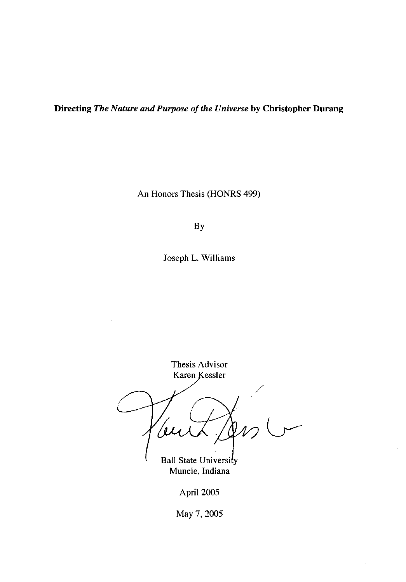**Directing** *The Nature and Purpose of the Universe* by **Christopher Durang** 

An Honors Thesis (HONRS 499)

By

Joseph L. Williams

Thesis Advisor Karen Kessler /

**Ball State University** Muncie, Indiana

April 2005

May 7, 2005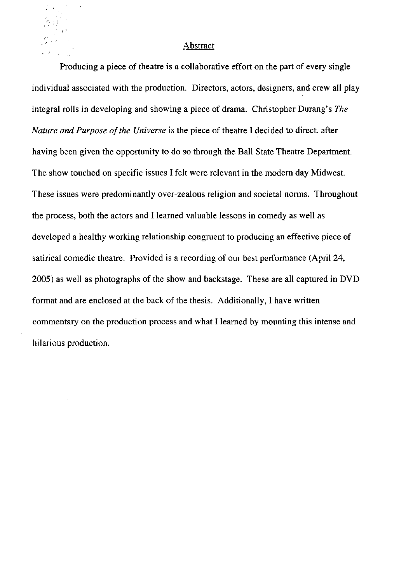## **Abstract**

Producing a piece of theatre is a collaborative effort on the part of every single individual associated with the production. Directors, actors, designers, and crew all play integral rolls in developing and showing a piece of drama. Christopher Durang's *The Nature and Purpose of the Universe* is the piece of theatre I decided to direct, after having been given the opportunity to do so through the Ball State Theatre Department. The show touched on specific issues I felt were relevant in the modem day Midwest. These issues were predominantly over-zealous religion and societal norms. Throughout the process, both the actors and I learned valuable lessons in comedy as well as developed a healthy working relationship congruent to producing an effective piece of satirical comedic theatre. Provided is a recording of our best performance (April 24, 2005) as well as photographs of the show and backstage. These are all captured in DVD format and are enclosed at the back of the thesis. Additionally, I have written commentary on the production process and what I learned by mounting this intense and hilarious production.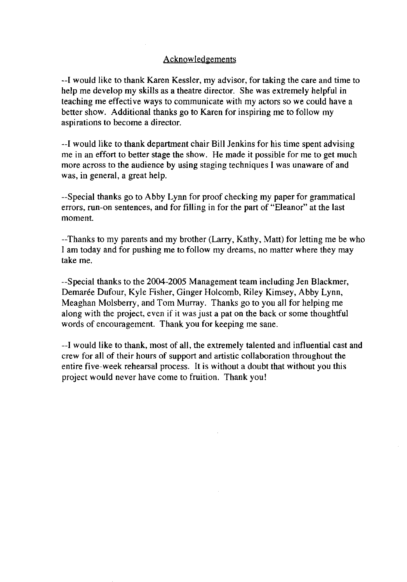## **Acknowledgements**

--I would like to thank Karen Kessler, my advisor, for taking the care and time to help me develop my skills as a theatre director. She was extremely helpful in teaching me effective ways to communicate with my actors so we could have a better show. Additional thanks go to Karen for inspiring me to follow my aspirations to become a director.

--I would like to thank department chair Bill Jenkins for his time spent advising me in an effort to better stage the show. He made it possible for me to get much more across to the audience by using staging techniques 1 was unaware of and was, in general, a great help.

--Special thanks go to Abby Lynn for proof checking my paper for grammatical errors, run-on sentences, and for filling in for the part of "Eleanor" at the last moment.

--Thanks to my parents and my brother (Larry, Kathy, Matt) for letting me be who I am today and for pushing me to follow my dreams, no matter where they may take me.

--Special thanks to the 2004-2005 Management team including Jen Blackmer, Demarée Dufour, Kyle Fisher, Ginger Holcomb, Riley Kimsey, Abby Lynn, Meaghan Molsberry, and Tom Murray. Thanks go to you all for helping me along with the project, even if it was just a pat on the back or some thoughtful words of encouragement. Thank you for keeping me sane.

--I would like to thank, most of all, the extremely talented and influential cast and crew for all of their hours of support and artistic collaboration throughout the entire five-week rehearsal process. It is without a doubt that without you this project would never have come to fruition. Thank you!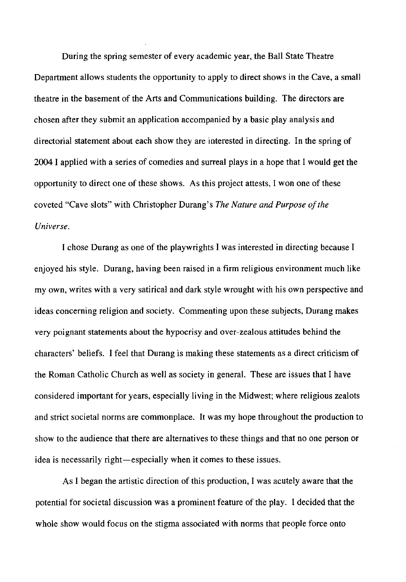During the spring semester of every academic year, the Ball State Theatre Department allows students the opportunity to apply to direct shows in the Cave, a small theatre in the basement of the Arts and Communications building. The directors are chosen after they submit an application accompanied by a basic play analysis and directorial statement about each show they are interested in directing. In the spring of 2004 I applied with a series of comedies and surreal plays in a hope that I would get the opportunity to direct one of these shows. As this project attests, I won one of these coveted "Cave slots" with Christopher Durang's *The Nature and Purpose of the Universe.* 

I chose Durang as one of the playwrights I was interested in directing because I enjoyed his style. Durang, having been raised in a firm religious environment much like my own, writes with a very satirical and dark style wrought with his own perspective and ideas concerning religion and society. Commenting upon these subjects, Durang makes very poignant statements about the hypocrisy and over-zealous attitudes behind the characters' beliefs. I feel that Durang is making these statements as a direct criticism of the Roman Catholic Church as well as society in general. These are issues that I have considered important for years, especially living in the Midwest; where religious zealots and strict societal norms are commonplace. **It** was my hope throughout the production to show to the audience that there are alternatives to these things and that no one person or idea is necessarily right-especially when it comes to these issues.

As I began the artistic direction of this production, I was acutely aware that the potential for societal discussion was a prominent feature of the play. I decided that the whole show would focus on the stigma associated with norms that people force onto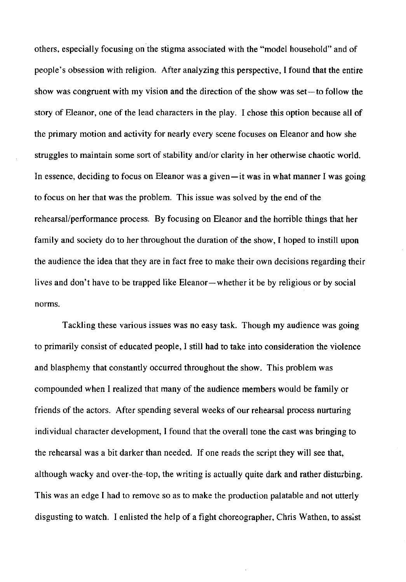others, especially focusing on the stigma associated with the "model household" and of people's obsession with religion. After analyzing this perspective, I found that the entire show was congruent with my vision and the direction of the show was set—to follow the story of Eleanor, one of the lead characters in the play. I chose this option because all of the primary motion and activity for nearly every scene focuses on Eleanor and how she struggles to maintain some sort of stability and/or clarity in her otherwise chaotic world. In essence, deciding to focus on Eleanor was a given-it was in what manner I was going to focus on her that was the problem. This issue was solved by the end of the rehearsal/performance process. By focusing on Eleanor and the horrible things that her family and society do to her throughout the duration of the show, I hoped to instill upon the audience the idea that they are in fact free to make their own decisions regarding their lives and don't have to be trapped like Eleanor-whether it be by religious or by social norms.

Tackling these various issues was no easy task. Though my audience was going to primarily consist of educated people, I still had to take into consideration the violence and blasphemy that constantly occurred throughout the show. This problem was compounded when I realized that many of the audience members would be family or friends of the actors. After spending several weeks of our rehearsal process nurturing individual character development, I found that the overall tone the cast was bringing to the rehearsal was a bit darker than needed. If one reads the script they will see that, although wacky and over-the-top, the writing is actually quite dark and rather disturbing. This was an edge I had to remove so as to make the production palatable and not utterly disgusting to watch. I enlisted the help of a fight choreographer, Chris Wathen, to assist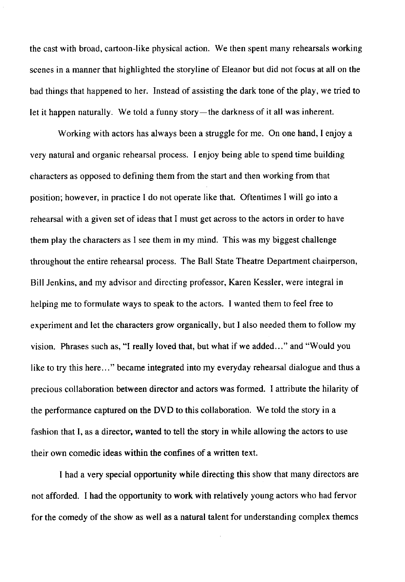the cast with broad, cartoon-like physical action. We then spent many rehearsals working scenes in a manner that highlighted the storyline of Eleanor but did not focus at all on the bad things that happened to her. Instead of assisting the dark tone of the play, we tried to let it happen naturally. We told a funny story—the darkness of it all was inherent.

Working with actors has always been a struggle for me. On one hand, I enjoy a very natural and organic rehearsal process. I enjoy being able to spend time building characters as opposed to defining them from the start and then working from that position; however, in practice I do not operate like that. Oftentimes I will go into a rehearsal with a given set of ideas that 1 must get across to the actors in order to have them play the characters as 1 see them in my mind. This was my biggest challenge throughout the entire rehearsal process. The Ball State Theatre Department chairperson, Bill Jenkins, and my advisor and directing professor, Karen Kessler, were integral in helping me to formulate ways to speak to the actors. 1 wanted them to feel free to experiment and let the characters grow organically, but 1 also needed them to follow my vision. Phrases such as, "I really loved that, but what if we added..." and "Would you like to try this here..." became integrated into my everyday rehearsal dialogue and thus a precious collaboration between director and actors was formed. I attribute the hilarity of the performance captured on the DVD to this collaboration. We told the story in a fashion that I, as a director, wanted to tell the story in while allowing the actors to use their own comedic ideas within the confines of a written text.

1 had a very special opportunity while directing this show that many directors are not afforded. 1 had the opportunity to work with relatively young actors who had fervor for the comedy of the show as well as a natural talent for understanding complex themes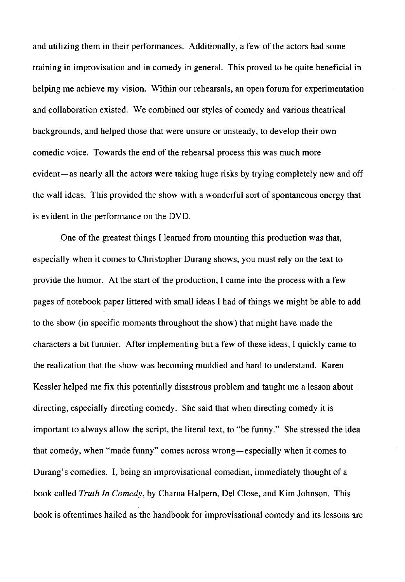and utilizing them in their performances. Additionally, a few of the actors had some training in improvisation and in comedy in general. This proved to be quite beneficial in helping me achieve my vision. Within our rehearsals, an open forum for experimentation and collaboration existed. We combined our styles of comedy and various theatrical backgrounds, and helped those that were unsure or unsteady, to develop their own comedic voice. Towards the end of the rehearsal process this was much more evident—as nearly all the actors were taking huge risks by trying completely new and off the wall ideas. This provided the show with a wonderful sort of spontaneous energy that is evident in the performance on the DVD.

One of the greatest things I learned from mounting this production was that, especially when it comes to Christopher Durang shows, you must rely on the text to provide the humor. At the start of the production, I came into the process with a few pages of notebook paper littered with small ideas I had of things we might be able to add to the show (in specific moments throughout the show) that might have made the characters a bit funnier. After implementing but a few of these ideas, I quickly came to the realization that the show was becoming muddied and hard to understand. Karen Kessler helped me fix this potentially disastrous problem and taught me a lesson about directing, especially directing comedy. She said that when directing comedy it is important to always allow the script, the literal text, to "be funny." She stressed the idea that comedy, when "made funny" comes across wrong-especially when it comes to Durang's comedies. I, being an improvisational comedian, immediately thought of a book called *Truth In Comedy,* by Chama Halpern, Del Close, and Kim Johnson. This book is oftentimes hailed as the handbook for improvisational comedy and its lessons are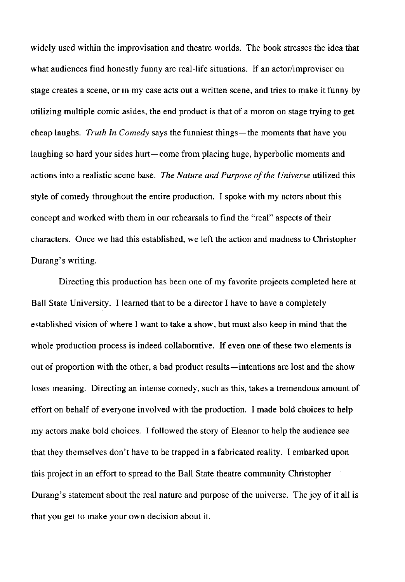widely used within the improvisation and theatre worlds. The book stresses the idea that what audiences find honestly funny are real-life situations. If an actor/improviser on stage creates a scene, or in my case acts out a written scene, and tries to make it funny by utilizing multiple comic asides, the end product is that of a moron on stage trying to get cheap laughs. *Truth In Comedy* says the funniest things-the moments that have you laughing so hard your sides hurt-come from placing huge, hyperbolic moments and actions into a realistic scene base. *The Nature and Purpose of the Universe* utilized this style of comedy throughout the entire production. I spoke with my actors about this concept and worked with them in our rehearsals to find the "real" aspects of their characters. Once we had this established, we left the action and madness to Christopher Durang's writing.

Directing this production has been one of my favorite projects completed here at Ball State University. I learned that to be a director I have to have a completely established vision of where I want to take a show, but must also keep in mind that the whole production process is indeed collaborative. If even one of these two elements is out of proportion with the other, a bad product results-intentions are lost and the show loses meaning. Directing an intense comedy, such as this, takes a tremendous amount of effort on behalf of everyone involved with the production. I made bold choices to help my actors make bold choices. I followed the story of Eleanor to help the audience see that they themselves don't have to be trapped in a fabricated reality. I embarked upon this project in an effort to spread to the Ball State theatre community Christopher Durang's statement about the real nature and purpose of the universe. The joy of it all is that you get to make your own decision about it.